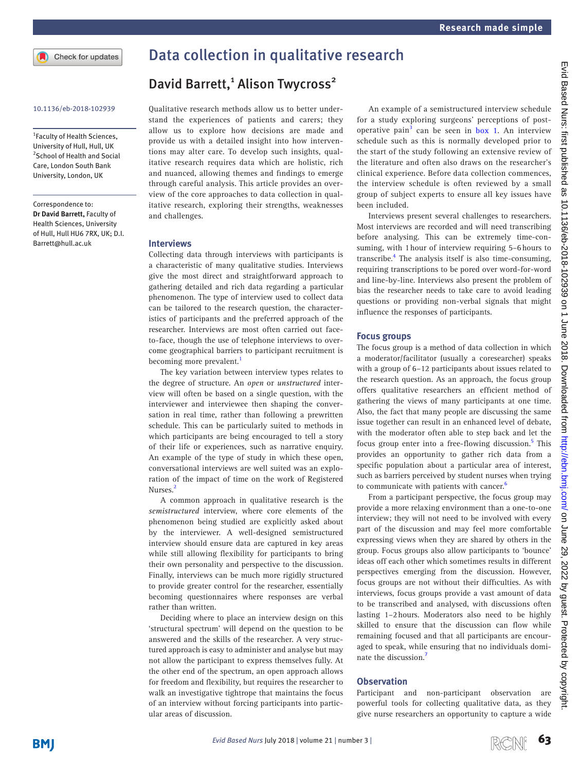1 Faculty of Health Sciences, University of Hull, Hull, UK 2 School of Health and Social Care, London South Bank University, London, UK

Correspondence to:

*Dr David Barrett,* Faculty of Health Sciences, University of Hull, Hull HU6 7RX, UK; D.I. Barrett@hull.ac.uk

# Data collection in qualitative research

# David Barrett,<sup>1</sup> Alison Twycross<sup>2</sup>

10.1136/eb-2018-102939 Qualitative research methods allow us to better understand the experiences of patients and carers; they allow us to explore how decisions are made and provide us with a detailed insight into how interventions may alter care. To develop such insights, qualitative research requires data which are holistic, rich and nuanced, allowing themes and findings to emerge through careful analysis. This article provides an overview of the core approaches to data collection in qualitative research, exploring their strengths, weaknesses and challenges.

#### **Interviews**

Collecting data through interviews with participants is a characteristic of many qualitative studies. Interviews give the most direct and straightforward approach to gathering detailed and rich data regarding a particular phenomenon. The type of interview used to collect data can be tailored to the research question, the characteristics of participants and the preferred approach of the researcher. Interviews are most often carried out faceto-face, though the use of telephone interviews to overcome geographical barriers to participant recruitment is becoming more prevalent.<sup>[1](#page-1-0)</sup>

The key variation between interview types relates to the degree of structure. An *open* or *unstructured* interview will often be based on a single question, with the interviewer and interviewee then shaping the conversation in real time, rather than following a prewritten schedule. This can be particularly suited to methods in which participants are being encouraged to tell a story of their life or experiences, such as narrative enquiry. An example of the type of study in which these open, conversational interviews are well suited was an exploration of the impact of time on the work of Registered Nurses.<sup>[2](#page-1-1)</sup>

A common approach in qualitative research is the *semistructured* interview, where core elements of the phenomenon being studied are explicitly asked about by the interviewer. A well-designed semistructured interview should ensure data are captured in key areas while still allowing flexibility for participants to bring their own personality and perspective to the discussion. Finally, interviews can be much more rigidly structured to provide greater control for the researcher, essentially becoming questionnaires where responses are verbal rather than written.

Deciding where to place an interview design on this 'structural spectrum' will depend on the question to be answered and the skills of the researcher. A very structured approach is easy to administer and analyse but may not allow the participant to express themselves fully. At the other end of the spectrum, an open approach allows for freedom and flexibility, but requires the researcher to walk an investigative tightrope that maintains the focus of an interview without forcing participants into particular areas of discussion.

An example of a semistructured interview schedule for a study exploring surgeons' perceptions of post-operative pain<sup>[3](#page-1-2)</sup> can be seen in box 1. An interview schedule such as this is normally developed prior to the start of the study following an extensive review of the literature and often also draws on the researcher's clinical experience. Before data collection commences, the interview schedule is often reviewed by a small group of subject experts to ensure all key issues have been included.

Interviews present several challenges to researchers. Most interviews are recorded and will need transcribing before analysing. This can be extremely time-consuming, with 1hour of interview requiring 5–6hours to transcribe.<sup>4</sup> The analysis itself is also time-consuming, requiring transcriptions to be pored over word-for-word and line-by-line. Interviews also present the problem of bias the researcher needs to take care to avoid leading questions or providing non-verbal signals that might influence the responses of participants.

#### **Focus groups**

The focus group is a method of data collection in which a moderator/facilitator (usually a coresearcher) speaks with a group of 6–12 participants about issues related to the research question. As an approach, the focus group offers qualitative researchers an efficient method of gathering the views of many participants at one time. Also, the fact that many people are discussing the same issue together can result in an enhanced level of debate, with the moderator often able to step back and let the focus group enter into a free-flowing discussion.<sup>5</sup> This provides an opportunity to gather rich data from a specific population about a particular area of interest, such as barriers perceived by student nurses when trying to communicate with patients with cancer.<sup>6</sup>

From a participant perspective, the focus group may provide a more relaxing environment than a one-to-one interview; they will not need to be involved with every part of the discussion and may feel more comfortable expressing views when they are shared by others in the group. Focus groups also allow participants to 'bounce' ideas off each other which sometimes results in different perspectives emerging from the discussion. However, focus groups are not without their difficulties. As with interviews, focus groups provide a vast amount of data to be transcribed and analysed, with discussions often lasting 1–2hours. Moderators also need to be highly skilled to ensure that the discussion can flow while remaining focused and that all participants are encouraged to speak, while ensuring that no individuals dominate the discussion.[7](#page-1-7)

### **Observation**

Participant and non-participant observation are powerful tools for collecting qualitative data, as they give nurse researchers an opportunity to capture a wide